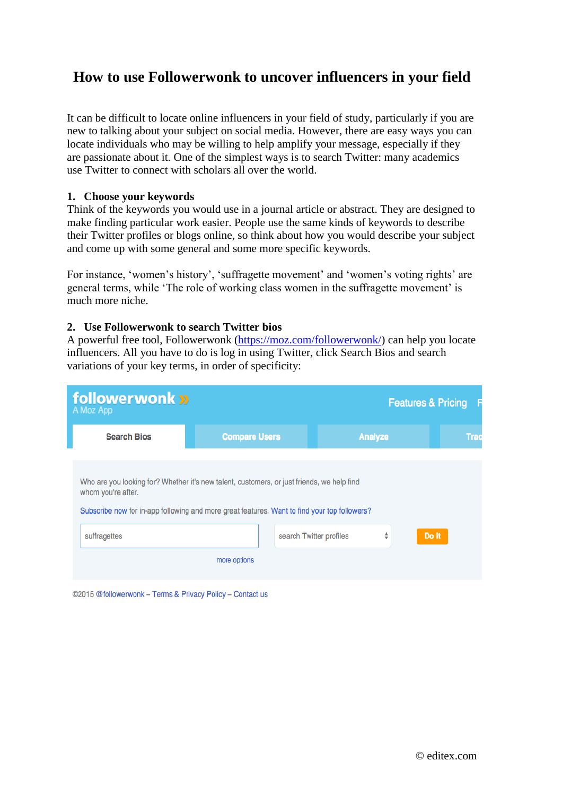### **How to use Followerwonk to uncover influencers in your field**

It can be difficult to locate online influencers in your field of study, particularly if you are new to talking about your subject on social media. However, there are easy ways you can locate individuals who may be willing to help amplify your message, especially if they are passionate about it. One of the simplest ways is to search Twitter: many academics use Twitter to connect with scholars all over the world.

### **1. Choose your keywords**

Think of the keywords you would use in a journal article or abstract. They are designed to make finding particular work easier. People use the same kinds of keywords to describe their Twitter profiles or blogs online, so think about how you would describe your subject and come up with some general and some more specific keywords.

For instance, 'women's history', 'suffragette movement' and 'women's voting rights' are general terms, while 'The role of working class women in the suffragette movement' is much more niche.

#### **2. Use Followerwonk to search Twitter bios**

A powerful free tool, Followerwonk [\(https://moz.com/followerwonk/\)](https://moz.com/followerwonk/) can help you locate influencers. All you have to do is log in using Twitter, click Search Bios and search variations of your key terms, in order of specificity:

| follower wonk »<br>A Moz App                                                                                                                                                                                                     |                      |                         |                | <b>Features &amp; Pricing</b> | F           |
|----------------------------------------------------------------------------------------------------------------------------------------------------------------------------------------------------------------------------------|----------------------|-------------------------|----------------|-------------------------------|-------------|
| <b>Search Bios</b>                                                                                                                                                                                                               | <b>Compare Users</b> |                         | <b>Analyze</b> |                               | <b>Trac</b> |
| Who are you looking for? Whether it's new talent, customers, or just friends, we help find<br>whom you're after.<br>Subscribe now for in-app following and more great features. Want to find your top followers?<br>suffragettes | more options         | search Twitter profiles | ÷              | Do it                         |             |
| ©2015 @followerwonk – Terms & Privacy Policy – Contact us                                                                                                                                                                        |                      |                         |                |                               |             |